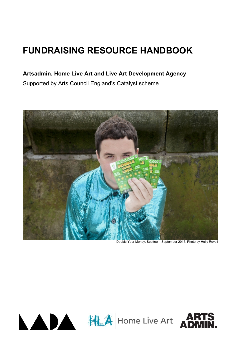# **FUNDRAISING RESOURCE HANDBOOK**

# **Artsadmin, Home Live Art and Live Art Development Agency**

Supported by Arts Council England's Catalyst scheme



Double Your Money, Scottee – September 2015. Photo by Holly Revell



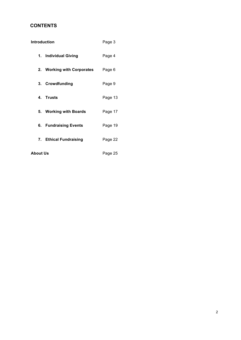# **CONTENTS**

| Introduction |                            | Page 3  |
|--------------|----------------------------|---------|
|              | 1. Individual Giving       | Page 4  |
|              | 2. Working with Corporates | Page 6  |
|              | 3. Crowdfunding            | Page 9  |
|              | 4. Trusts                  | Page 13 |
|              | 5. Working with Boards     | Page 17 |
|              | 6. Fundraising Events      | Page 19 |
|              | 7. Ethical Fundraising     | Page 22 |
| About Us     | Page 25                    |         |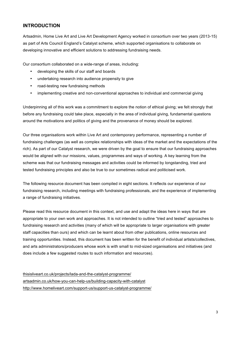# **INTRODUCTION**

Artsadmin, Home Live Art and Live Art Development Agency worked in consortium over two years (2013-15) as part of Arts Council England's Catalyst scheme, which supported organisations to collaborate on developing innovative and efficient solutions to addressing fundraising needs.

Our consortium collaborated on a wide-range of areas, including:

- developing the skills of our staff and boards
- undertaking research into audience propensity to give
- road-testing new fundraising methods
- implementing creative and non-conventional approaches to individual and commercial giving

Underpinning all of this work was a commitment to explore the notion of ethical giving; we felt strongly that before any fundraising could take place, especially in the area of individual giving, fundamental questions around the motivations and politics of giving and the provenance of money should be explored.

Our three organisations work within Live Art and contemporary performance, representing a number of fundraising challenges (as well as complex relationships with ideas of the market and the expectations of the rich). As part of our Catalyst research, we were driven by the goal to ensure that our fundraising approaches would be aligned with our missions, values, programmes and ways of working. A key learning from the scheme was that our fundraising messages and activities could be informed by longstanding, tried and tested fundraising principles and also be true to our sometimes radical and politicised work.

The following resource document has been compiled in eight sections. It reflects our experience of our fundraising research, including meetings with fundraising professionals, and the experience of implementing a range of fundraising initiatives.

Please read this resource document in this context, and use and adapt the ideas here in ways that are appropriate to your own work and approaches. It is not intended to outline "tried and tested" approaches to fundraising research and activities (many of which will be appropriate to larger organisations with greater staff capacities than ours) and which can be learnt about from other publications, online resources and training opportunities. Instead, this document has been written for the benefit of individual artists/collectives, and arts administrators/producers whose work is with small to mid-sized organisations and initiatives (and does include a few suggested routes to such information and resources).

thisisliveart.co.uk/projects/lada-and-the-catalyst-programme/ artsadmin.co.uk/how-you-can-help-us/building-capacity-with-catalyst http://www.homeliveart.com/support-us/support-us-catalyst-programme/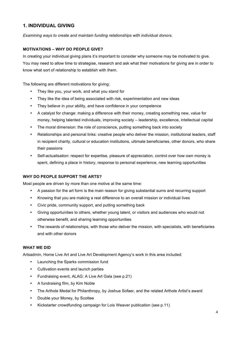# **1. INDIVIDUAL GIVING**

*Examining ways to create and maintain funding relationships with individual donors.* 

# **MOTIVATIONS – WHY DO PEOPLE GIVE?**

In creating your individual giving plans it's important to consider why someone may be motivated to give. You may need to allow time to strategise, research and ask what their motivations for giving are in order to know what sort of relationship to establish with them.

The following are different motivations for giving:

- They like you, your work, and what you stand for
- They like the idea of being associated with risk, experimentation and new ideas
- They believe in your ability, and have confidence in your competence
- A catalyst for change: making a difference with their money, creating something new, value for money, helping talented individuals, improving society – leadership, excellence, intellectual capital
- The moral dimension: the role of conscience, putting something back into society
- Relationships and personal links: creative people who deliver the mission, institutional leaders, staff in recipient charity, cultural or education institutions, ultimate beneficiaries, other donors, who share their passions
- Self-actualisation: respect for expertise, pleasure of appreciation, control over how own money is spent, defining a place in history, response to personal experience, new learning opportunities

## **WHY DO PEOPLE SUPPORT THE ARTS?**

Most people are driven by more than one motive at the same time:

- A passion for the art form is the main reason for giving substantial sums and recurring support
- Knowing that you are making a real difference to an overall mission or individual lives
- Civic pride, community support, and putting something back
- Giving opportunities to others, whether young talent, or visitors and audiences who would not otherwise benefit, and sharing learning opportunities
- The rewards of relationships, with those who deliver the mission, with specialists, with beneficiaries and with other donors

## **WHAT WE DID**

Artsadmin, Home Live Art and Live Art Development Agency's work in this area included:

- Launching the Sparks commission fund
- Cultivation events and launch parties
- Fundraising event, ALAG: A Live Art Gala (see p.21)
- A fundraising film, by Kim Noble
- The Arthole Medal for Philanthropy, by Joshua Sofaer, and the related Arthole Artist's award
- Double your Money, by Scottee
- Kickstarter crowdfunding campaign for Lois Weaver publication (see p.11)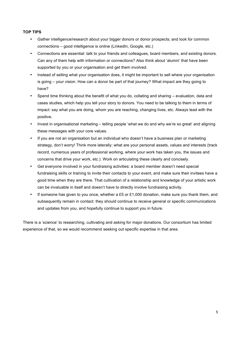# **TOP TIPS**

- Gather intelligence/research about your bigger donors or donor prospects; and look for common connections – good intelligence is online (LinkedIn, Google, etc.)
- Connections are essential: talk to your friends and colleagues, board members, and existing donors. Can any of them help with information or connections? Also think about 'alumni' that have been supported by you or your organisation and get them involved.
- Instead of selling what your organisation does, it might be important to sell where your organisation is going – your vision. How can a donor be part of that journey? What impact are they going to have?
- Spend time thinking about the benefit of what you do, collating and sharing evaluation, data and cases studies, which help you tell your story to donors. You need to be talking to them in terms of impact: say what you are doing, whom you are reaching, changing lives, etc. Always lead with the positive.
- Invest in organisational marketing telling people 'what we do and why we're so great' and aligning these messages with your core values.
- If you are not an organisation but an individual who doesn't have a business plan or marketing strategy, don't worry! Think more laterally: what are your personal assets, values and interests (track record, numerous years of professional working, where your work has taken you, the issues and concerns that drive your work, etc.). Work on articulating these clearly and concisely.
- Get everyone involved in your fundraising activities: a board member doesn't need special fundraising skills or training to invite their contacts to your event, and make sure their invitees have a good time when they are there. That cultivation of a relationship and knowledge of your artistic work can be invaluable in itself and doesn't have to directly involve fundraising activity.
- If someone has given to you once, whether a £5 or £1,000 donation, make sure you thank them, and subsequently remain in contact: they should continue to receive general or specific communications and updates from you, and hopefully continue to support you in future.

There is a 'science' to researching, cultivating and asking for major donations. Our consortium has limited experience of that, so we would recommend seeking out specific expertise in that area.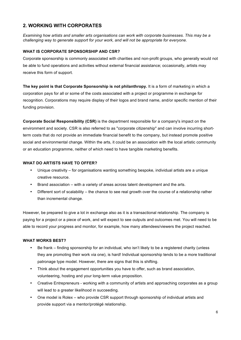# **2. WORKING WITH CORPORATES**

*Examining how artists and smaller arts organisations can work with corporate businesses. This may be a challenging way to generate support for your work, and will not be appropriate for everyone.* 

## **WHAT IS CORPORATE SPONSORSHIP AND CSR?**

Corporate sponsorship is commonly associated with charities and non-profit groups, who generally would not be able to fund operations and activities without external financial assistance; occasionally, artists may receive this form of support.

**The key point is that Corporate Sponsorship is not philanthropy.** It is a form of marketing in which a corporation pays for all or some of the costs associated with a project or programme in exchange for recognition. Corporations may require display of their logos and brand name, and/or specific mention of their funding provision.

**Corporate Social Responsibility (CSR)** is the department responsible for a company's impact on the environment and society. CSR is also referred to as "corporate citizenship" and can involve incurring shortterm costs that do not provide an immediate financial benefit to the company, but instead promote positive social and environmental change. Within the arts, it could be an association with the local artistic community or an education programme, neither of which need to have tangible marketing benefits.

## **WHAT DO ARTISTS HAVE TO OFFER?**

- Unique creativity for organisations wanting something bespoke, individual artists are a unique creative resource.
- Brand association with a variety of areas across talent development and the arts.
- Different sort of scalability the chance to see real growth over the course of a relationship rather than incremental change.

However, be prepared to give a lot in exchange also as it is a transactional relationship. The company is paying for a project or a piece of work, and will expect to see outputs and outcomes met. You will need to be able to record your progress and monitor, for example, how many attendees/viewers the project reached.

#### **WHAT WORKS BEST?**

- Be frank finding sponsorship for an individual, who isn't likely to be a registered charity (unless they are promoting their work via one), is hard! Individual sponsorship tends to be a more traditional patronage type model. However, there are signs that this is shifting.
- Think about the engagement opportunities you have to offer, such as brand association, volunteering, hosting and your long-term value proposition.
- Creative Entrepreneurs working with a community of artists and approaching corporates as a group will lead to a greater likelihood in succeeding.
- One model is Rolex who provide CSR support through sponsorship of individual artists and provide support via a mentor/protégé relationship.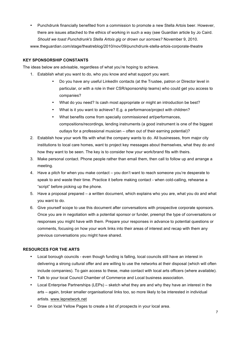• Punchdrunk financially benefited from a commission to promote a new Stella Artois beer. However, there are issues attached to the ethics of working in such a way (see Guardian article by Jo Caird. *Should we toast Punchdrunk's Stella Artois gig or drown our sorrows?* November 9, 2010. www.theguardian.com/stage/theatreblog/2010/nov/09/punchdrunk-stella-artois-corporate-theatre

## **KEY SPONSORSHIP CONSTANTS**

The ideas below are advisable, regardless of what you're hoping to achieve.

- 1. Establish what you want to do, who you know and what support you want.
	- Do you have any useful LinkedIn contacts (at the Trustee, patron or Director level in particular, or with a role in their CSR/sponsorship teams) who could get you access to companies?
	- What do you need? Is cash most appropriate or might an introduction be best?
	- What is it you want to achieve? E.g. a performance/project with children?
	- What benefits come from specially commissioned art/performances, compositions/recordings, lending instruments (a good instrument is one of the biggest outlays for a professional musician – often out of their earning potential)?
- 2. Establish how your work fits with what the company wants to do. All businesses, from major city institutions to local care homes, want to project key messages about themselves, what they do and how they want to be seen. The key is to consider how your work/brand fits with theirs.
- 3. Make personal contact. Phone people rather than email them, then call to follow up and arrange a meeting.
- 4. Have a pitch for when you make contact you don't want to reach someone you're desperate to speak to and waste their time. Practice it before making contact - when cold-calling, rehearse a "script" before picking up the phone.
- 5. Have a proposal prepared a written document, which explains who you are, what you do and what you want to do.
- 6. Give yourself scope to use this document after conversations with prospective corporate sponsors. Once you are in negotiation with a potential sponsor or funder, preempt the type of conversations or responses you might have with them. Prepare your responses in advance to potential questions or comments, focusing on how your work links into their areas of interest and recap with them any previous conversations you might have shared.

# **RESOURCES FOR THE ARTS**

- Local borough councils even though funding is falling, local councils still have an interest in delivering a strong cultural offer and are willing to use the networks at their disposal (which will often include companies). To gain access to these, make contact with local arts officers (where available).
- Talk to your local Council Chamber of Commerce and Local business association.
- Local Enterprise Partnerships (LEPs) sketch what they are and why they have an interest in the arts – again, broker smaller organisational links too, so more likely to be interested in individual artists. www.lepnetwork.net
- Draw on local Yellow Pages to create a list of prospects in your local area.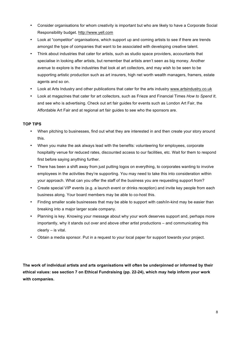- Consider organisations for whom creativity is important but who are likely to have a Corporate Social Responsibility budget. http://www.yell.com
- Look at "competitor" organisations, which support up and coming artists to see if there are trends amongst the type of companies that want to be associated with developing creative talent.
- Think about industries that cater for artists, such as studio space providers, accountants that specialise in looking after artists, but remember that artists aren't seen as big money. Another avenue to explore is the industries that look at art collectors, and may wish to be seen to be supporting artistic production such as art insurers, high net worth wealth managers, framers, estate agents and so on.
- Look at Arts Industry and other publications that cater for the arts industry www.artsindustry.co.uk
- Look at magazines that cater for art collectors, such as Frieze and Financial Times *How to Spend It*, and see who is advertising. Check out art fair guides for events such as London Art Fair, the Affordable Art Fair and at regional art fair guides to see who the sponsors are.

## **TOP TIPS**

- When pitching to businesses, find out what they are interested in and then create your story around this.
- When you make the ask always lead with the benefits: volunteering for employees, corporate hospitality venue for reduced rates, discounted access to our facilities, etc. Wait for them to respond first before saying anything further.
- There has been a shift away from just putting logos on everything, to corporates wanting to involve employees in the activities they're supporting. You may need to take this into consideration within your approach. What can you offer the staff of the business you are requesting support from?
- Create special VIP events (e.g. a launch event or drinks reception) and invite key people from each business along. Your board members may be able to co-host this.
- Finding smaller scale businesses that may be able to support with cash/in-kind may be easier than breaking into a major larger scale company.
- Planning is key. Knowing your message about why your work deserves support and, perhaps more importantly, why it stands out over and above other artist productions – and communicating this clearly – is vital.
- Obtain a media sponsor. Put in a request to your local paper for support towards your project.

**The work of individual artists and arts organisations will often be underpinned or informed by their ethical values: see section 7 on Ethical Fundraising (pp. 22-24), which may help inform your work with companies.**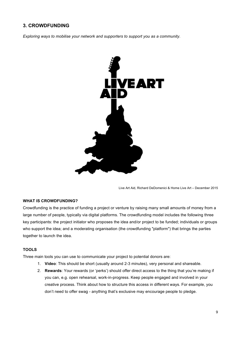# **3. CROWDFUNDING**

*Exploring ways to mobilise your network and supporters to support you as a community.* 



Live Art Aid, Richard DeDomenici & Home Live Art – December 2015

## **WHAT IS CROWDFUNDING?**

Crowdfunding is the practice of funding a project or venture by raising many small amounts of money from a large number of people, typically via digital platforms. The crowdfunding model includes the following three key participants: the project initiator who proposes the idea and/or project to be funded; individuals or groups who support the idea; and a moderating organisation (the crowdfunding "platform") that brings the parties together to launch the idea.

## **TOOLS**

Three main tools you can use to communicate your project to potential donors are:

- 1. **Video**: This should be short (usually around 2-3 minutes), very personal and shareable.
- 2. **Rewards**: Your rewards (or 'perks') should offer direct access to the thing that you're making if you can, e.g. open rehearsal, work-in-progress. Keep people engaged and involved in your creative process. Think about how to structure this access in different ways. For example, you don't need to offer swag - anything that's exclusive may encourage people to pledge.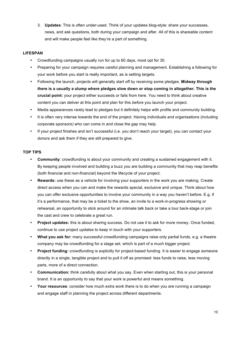3. **Updates**: This is often under-used. Think of your updates blog-style: share your successes, news, and ask questions, both during your campaign and after. All of this is shareable content and will make people feel like they're a part of something.

## **LIFESPAN**

- Crowdfunding campaigns usually run for up to 60 days, most opt for 30.
- Preparing for your campaign requires careful planning and management. Establishing a following for your work before you start is really important, as is setting targets.
- Following the launch, projects will generally start off by receiving some pledges. **Midway through there is a usually a slump where pledges slow down or stop coming in altogether. This is the crucial point:** your project either succeeds or fails from here. You need to think about creative content you can deliver at this point and plan for this *before* you launch your project.
- Media appearances rarely lead to pledges but it definitely helps with profile and community building.
- It is often very intense towards the end of the project. Having individuals and organisations (including corporate sponsors) who can come in and close the gap may help.
- If your project finishes and isn't successful (i.e. you don't reach your target), you can contact your donors and ask them if they are still prepared to give.

## **TOP TIPS**

- **Community**: crowdfunding is about your community and creating a sustained engagement with it. By keeping people involved and building a buzz you are building a community that may reap benefits (both financial and non-financial) beyond the lifecycle of your project.
- **Rewards:** use these as a vehicle for involving your supporters in the work you are making. Create direct access when you can and make the rewards special, exclusive and unique. Think about how you can offer exclusive opportunities to involve your community in a way you haven't before. E.g. if it's a performance, that may be a ticket to the show, an invite to a work-in-progress showing or rehearsal, an opportunity to stick around for an intimate talk back or take a tour back-stage or join the cast and crew to celebrate a great run.
- **Project updates:** this is about sharing success. Do not use it to ask for more money. Once funded, continue to use project updates to keep in touch with your supporters.
- **What you ask for:** many successful crowdfunding campaigns raise only partial funds, e.g. a theatre company may be crowdfunding for a stage set, which is part of a much bigger project.
- **Project funding:** crowdfunding is explicitly for project-based funding. It is easier to engage someone directly in a single, tangible project and to pull it off as promised: less funds to raise, less moving parts, more of a direct connection.
- **Communication:** think carefully about what you say. Even when starting out, this is your personal brand. It is an opportunity to say that your work is powerful and means something.
- **Your resources**: consider how much extra work there is to do when you are running a campaign and engage staff in planning the project across different departments.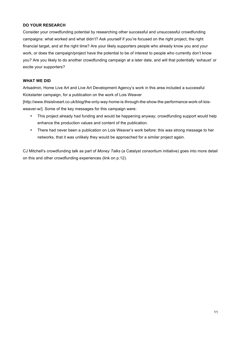#### **DO YOUR RESEARCH**

Consider your crowdfunding potential by researching other successful and unsuccessful crowdfunding campaigns: what worked and what didn't? Ask yourself if you're focused on the right project, the right financial target, and at the right time? Are your likely supporters people who already know you and your work, or does the campaign/project have the potential to be of interest to people who currently don't know you? Are you likely to do another crowdfunding campaign at a later date, and will that potentially 'exhaust' or excite your supporters?

#### **WHAT WE DID**

Artsadmin, Home Live Art and Live Art Development Agency's work in this area included a successful Kickstarter campaign, for a publication on the work of Lois Weaver

[http://www.thisisliveart.co.uk/blog/the-only-way-home-is-through-the-show-the-performance-work-of-loisweaver-w/]. Some of the key messages for this campaign were:

- This project already had funding and would be happening anyway; crowdfunding support would help enhance the production values and content of the publication.
- There had never been a publication on Lois Weaver's work before: this was strong message to her networks, that it was unlikely they would be approached for a similar project again.

CJ Mitchell's crowdfunding talk as part of *Money Talks* (a Catalyst consortium initiative) goes into more detail on this and other crowdfunding experiences (link on p.12).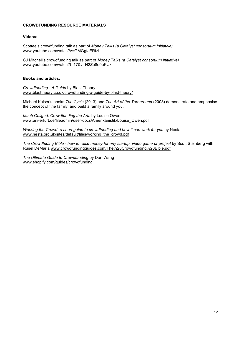#### **CROWDFUNDING RESOURCE MATERIALS**

#### **Videos:**

Scottee's crowdfunding talk as part of *Money Talks (a Catalyst consortium initiative)*  www.youtube.com/watch?v=GMGgtJERtzI

CJ Mitchell's crowdfunding talk as part of *Money Talks (a Catalyst consortium initiative)*  www.youtube.com/watch?t=17&v=N2Zu8e0uKUk

#### **Books and articles:**

*Crowdfunding - A Guide* by Blast Theory www.blasttheory.co.uk/crowdfunding-a-guide-by-blast-theory/

Michael Kaiser's books *The Cycle* (2013) and *The Art of the Turnaround* (2008) demonstrate and emphasise the concept of 'the family' and build a family around you.

*Much Obliged: Crowdfunding the Arts* by Louise Owen www.uni-erfurt.de/fileadmin/user-docs/Amerikanistik/Louise\_Owen.pdf

*Working the Crowd- a short guide to crowdfunding and how it can work for you* by Nesta www.nesta.org.uk/sites/default/files/working\_the\_crowd.pdf

*The Crowdfuding Bible - how to raise money for any startup, video game or project* by Scott Steinberg with Rusel DeMaria www.crowdfundingguides.com/The%20Crowdfunding%20Bible.pdf

*The Ultimate Guide to Crowdfunding* by Dan Wang www.shopify.com/guides/crowdfunding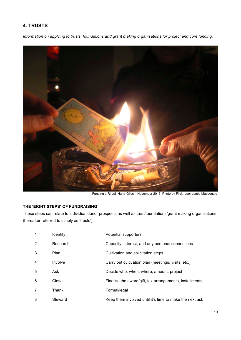# **4. TRUSTS**

*Information on applying to trusts, foundations and grant making organisations for project and core funding.* 



Funding a Ritual, Harry Giles – November 2015. Photo by Flickr user Jamie Macdonald

# **THE 'EIGHT STEPS' OF FUNDRAISING**

These steps can relate to individual donor prospects as well as trust/foundations/grant making organisations (hereafter referred to simply as 'trusts')

| 1              | <b>Identify</b> | Potential supporters                                    |
|----------------|-----------------|---------------------------------------------------------|
| 2              | Research        | Capacity, interest, and any personal connections        |
| 3              | Plan            | Cultivation and solicitation steps                      |
| $\overline{4}$ | Involve         | Carry out cultivation plan (meetings, visits, etc.)     |
| 5              | Ask             | Decide who, when, where, amount, project                |
| 6              | Close           | Finalise the award/gift, tax arrangements, installments |
| 7              | Thank           | Formal/legal                                            |
| 8              | Steward         | Keep them involved until it's time to make the next ask |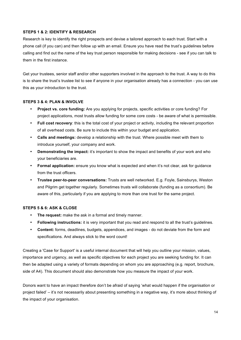## **STEPS 1 & 2: IDENTIFY & RESEARCH**

Research is key to identify the right prospects and devise a tailored approach to each trust. Start with a phone call (if you can) and then follow up with an email. Ensure you have read the trust's guidelines before calling and find out the name of the key trust person responsible for making decisions - see if you can talk to them in the first instance.

Get your trustees, senior staff and/or other supporters involved in the approach to the trust. A way to do this is to share the trust's trustee list to see if anyone in your organisation already has a connection - you can use this as your introduction to the trust.

#### **STEPS 3 & 4: PLAN & INVOLVE**

- **Project vs. core funding:** Are you applying for projects, specific activities or core funding? For project applications, most trusts allow funding for some core costs - be aware of what is permissible.
- **Full cost recovery**: this is the total cost of your project or activity, including the relevant proportion of all overhead costs. Be sure to include this within your budget and application.
- **Calls and meetings:** develop a relationship with the trust. Where possible meet with them to introduce yourself, your company and work.
- **Demonstrating the impact:** it's important to show the impact and benefits of your work and who your beneficiaries are.
- **Formal application:** ensure you know what is expected and when it's not clear, ask for guidance from the trust officers.
- **Trustee peer-to-peer conversations:** Trusts are well networked. E.g. Foyle, Sainsburys, Weston and Pilgrim get together regularly. Sometimes trusts will collaborate (funding as a consortium). Be aware of this, particularly if you are applying to more than one trust for the same project.

#### **STEPS 5 & 6: ASK & CLOSE**

- **The request:** make the ask in a formal and timely manner.
- **Following instructions:** it is very important that you read and respond to all the trust's guidelines.
- **Content:** forms, deadlines, budgets, appendices, and images do not deviate from the form and specifications. And always stick to the word count!

Creating a 'Case for Support' is a useful internal document that will help you outline your mission, values, importance and urgency, as well as specific objectives for each project you are seeking funding for. It can then be adapted using a variety of formats depending on whom you are approaching (e.g. report, brochure, side of A4). This document should also demonstrate how you measure the impact of your work.

Donors want to have an impact therefore don't be afraid of saying 'what would happen if the organisation or project failed' – it's not necessarily about presenting something in a negative way, it's more about thinking of the impact of your organisation.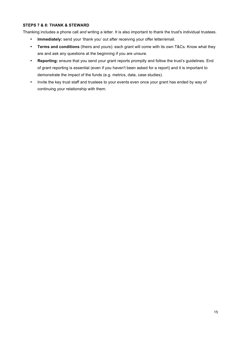### **STEPS 7 & 8: THANK & STEWARD**

Thanking includes a phone call *and* writing a letter. It is also important to thank the trust's individual trustees.

- **Immediately:** send your 'thank you' out after receiving your offer letter/email.
- **Terms and conditions** (theirs and yours): each grant will come with its own T&Cs. Know what they are and ask any questions at the beginning if you are unsure.
- **Reporting:** ensure that you send your grant reports promptly and follow the trust's guidelines. End of grant reporting is essential (even if you haven't been asked for a report) and it is important to demonstrate the impact of the funds (e.g. metrics, data, case studies).
- Invite the key trust staff and trustees to your events even once your grant has ended by way of continuing your relationship with them.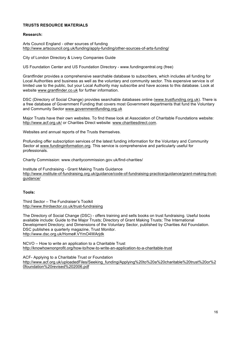#### **TRUSTS RESOURCE MATERIALS**

#### **Research:**

Arts Council England - other sources of funding http://www.artscouncil.org.uk/funding/apply-funding/other-sources-of-arts-funding/

City of London Directory & Livery Companies Guide

US Foundation Center and US Foundation Directory - www.fundingcentral.org (free)

Grantfinder provides a comprehensive searchable database to subscribers, which includes all funding for Local Authorities and business as well as the voluntary and community sector. This expensive service is of limited use to the public, but your Local Authority may subscribe and have access to this database. Look at website www.grantfinder.co.uk for further information.

DSC (Directory of Social Change) provides searchable databases online (www.trustfunding.org.uk). There is a free database of Government Funding that covers most Government departments that fund the Voluntary and Community Sector www.governmentfunding.org.uk

Major Trusts have their own websites. To find these look at Association of Charitable Foundations website: http://www.acf.org.uk/ or Charities Direct website: www.charitiesdirect.com.

Websites and annual reports of the Trusts themselves.

Profunding offer subscription services of the latest funding information for the Voluntary and Community Sector at www.fundinginformation.org. This service is comprehensive and particularly useful for professionals.

Charity Commission: www.charitycommission.gov.uk/find-charities/

Institute of Fundraising - Grant Making Trusts Guidance http://www.institute-of-fundraising.org.uk/guidance/code-of-fundraising-practice/guidance/grant-making-trustguidance/

#### **Tools:**

Third Sector – The Fundraiser's Toolkit http://www.thirdsector.co.uk/trust-fundraising

The Directory of Social Change (DSC) - offers training and sells books on trust fundraising. Useful books available include: Guide to the Major Trusts; Directory of Grant Making Trusts; The International Development Directory; and Dimensions of the Voluntary Sector, published by Charities Aid Foundation. DSC publishes a quarterly magazine, Trust Monitor. http://www.dsc.org.uk/Home#.VYmO4WArjdk

NCVO – How to write an application to a Charitable Trust http://knowhownonprofit.org/how-to/how-to-write-an-application-to-a-charitable-trust

ACF- Applying to a Charitable Trust or Foundation http://www.acf.org.uk/uploadedFiles/Seeking\_funding/Applying%20to%20a%20charitable%20trust%20or%2 0foundation%20revised%202006.pdf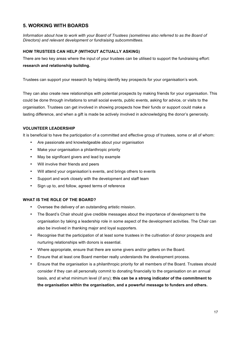# **5. WORKING WITH BOARDS**

*Information about how to work with your Board of Trustees (sometimes also referred to as the Board of Directors) and relevant development or fundraising subcommittees.*

## **HOW TRUSTEES CAN HELP (WITHOUT ACTUALLY ASKING)**

There are two key areas where the input of your trustees can be utilised to support the fundraising effort: **research and relationship building.**

Trustees can support your research by helping identify key prospects for your organisation's work.

They can also create new relationships with potential prospects by making friends for your organisation. This could be done through invitations to small social events, public events, asking for advice, or visits to the organisation. Trustees can get involved in showing prospects how their funds or support could make a lasting difference, and when a gift is made be actively involved in acknowledging the donor's generosity.

# **VOLUNTEER LEADERSHIP**

It is beneficial to have the participation of a committed and effective group of trustees, some or all of whom:

- Are passionate and knowledgeable about your organisation
- Make your organisation a philanthropic priority
- May be significant givers and lead by example
- Will involve their friends and peers
- Will attend your organisation's events, and brings others to events
- Support and work closely with the development and staff team
- Sign up to, and follow, agreed terms of reference

#### **WHAT IS THE ROLE OF THE BOARD?**

- Oversee the delivery of an outstanding artistic mission.
- The Board's Chair should give credible messages about the importance of development to the organisation by taking a leadership role in some aspect of the development activities. The Chair can also be involved in thanking major and loyal supporters.
- Recognise that the participation of at least some trustees in the cultivation of donor prospects and nurturing relationships with donors is essential.
- Where appropriate, ensure that there are some givers and/or getters on the Board.
- Ensure that at least one Board member really understands the development process.
- Ensure that the organisation is a philanthropic priority for all members of the Board. Trustees should consider if they can all personally commit to donating financially to the organisation on an annual basis, and at what minimum level (if any); **this can be a strong indicator of the commitment to the organisation within the organisation, and a powerful message to funders and others.**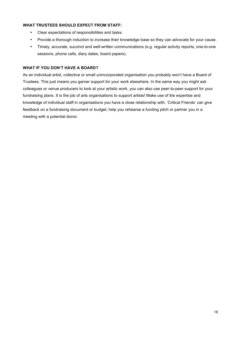#### **WHAT TRUSTEES SHOULD EXPECT FROM STAFF:**

- Clear expectations of responsibilities and tasks.
- Provide a thorough induction to increase their knowledge base so they can advocate for your cause.
- Timely, accurate, succinct and well-written communications (e.g. regular activity reports, one-to-one sessions, phone calls, diary dates, board papers).

#### **WHAT IF YOU DON'T HAVE A BOARD?**

As an individual artist, collective or small unincorporated organisation you probably won't have a Board of Trustees. This just means you garner support for your work elsewhere. In the same way you might ask colleagues or venue producers to look at your artistic work, you can also use peer-to-peer support for your fundraising plans. It is the job of arts organisations to support artists! Make use of the expertise and knowledge of individual staff in organisations you have a close relationship with. 'Critical Friends' can give feedback on a fundraising document or budget, help you rehearse a funding pitch or partner you in a meeting with a potential donor.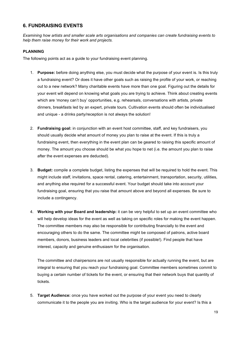# **6. FUNDRAISING EVENTS**

*Examining how artists and smaller scale arts organisations and companies can create fundraising events to help them raise money for their work and projects.* 

## **PLANNING**

The following points act as a guide to your fundraising event planning.

- 1. **Purpose:** before doing anything else, you must decide what the purpose of your event is. Is this truly a fundraising event? Or does it have other goals such as raising the profile of your work, or reaching out to a new network? Many charitable events have more than one goal. Figuring out the details for your event will depend on knowing what goals you are trying to achieve. Think about creating events which are 'money can't buy' opportunities, e.g. rehearsals, conversations with artists, private dinners, breakfasts led by an expert, private tours. Cultivation events should often be individualised and unique - a drinks party/reception is not always the solution!
- 2. **Fundraising goal:** in conjunction with an event host committee, staff, and key fundraisers, you should usually decide what amount of money you plan to raise at the event. If this is truly a fundraising event, then everything in the event plan can be geared to raising this specific amount of money. The amount you choose should be what you hope to net (i.e. the amount you plan to raise after the event expenses are deducted).
- 3. **Budget:** compile a complete budget, listing the expenses that will be required to hold the event. This might include staff, invitations, space rental, catering, entertainment, transportation, security, utilities, and anything else required for a successful event. Your budget should take into account your fundraising goal, ensuring that you raise that amount above and beyond all expenses. Be sure to include a contingency.
- 4. **Working with your Board and leadership:** it can be very helpful to set up an event committee who will help develop ideas for the event as well as taking on specific roles for making the event happen. The committee members may also be responsible for contributing financially to the event and encouraging others to do the same. The committee might be composed of patrons, active board members, donors, business leaders and local celebrities (if possible!). Find people that have interest, capacity and genuine enthusiasm for the organisation.

The committee and chairpersons are not usually responsible for actually running the event, but are integral to ensuring that you reach your fundraising goal. Committee members sometimes commit to buying a certain number of tickets for the event, or ensuring that their network buys that quantity of tickets.

5. **Target Audience:** once you have worked out the purpose of your event you need to clearly communicate it to the people you are inviting. Who is the target audience for your event? Is this a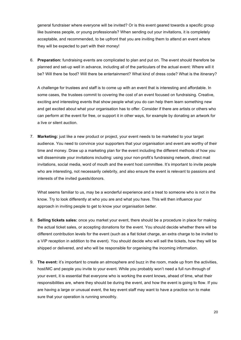general fundraiser where everyone will be invited? Or is this event geared towards a specific group like business people, or young professionals? When sending out your invitations, it is completely acceptable, and recommended, to be upfront that you are inviting them to attend an event where they will be expected to part with their money!

6. **Preparation:** fundraising events are complicated to plan and put on. The event should therefore be planned and set-up well in advance, including all of the particulars of the actual event: Where will it be? Will there be food? Will there be entertainment? What kind of dress code? What is the itinerary?

A challenge for trustees and staff is to come up with an event that is interesting and affordable. In some cases, the trustees commit to covering the cost of an event focused on fundraising. Creative, exciting and interesting events that show people what you do can help them learn something new and get excited about what your organisation has to offer. Consider if there are artists or others who can perform at the event for free, or support it in other ways, for example by donating an artwork for a live or silent auction.

7. **Marketing:** just like a new product or project, your event needs to be marketed to your target audience. You need to convince your supporters that your organisation and event are worthy of their time and money. Draw up a marketing plan for the event including the different methods of how you will disseminate your invitations including: using your non-profit's fundraising network, direct mail invitations, social media, word of mouth and the event host committee. It's important to invite people who are interesting, not necessarily celebrity, and also ensure the event is relevant to passions and interests of the invited guests/donors.

What seems familiar to us, may be a wonderful experience and a treat to someone who is not in the know. Try to look differently at who you are and what you have. This will then influence your approach in inviting people to get to know your organisation better.

- 8. **Selling tickets sales:** once you market your event, there should be a procedure in place for making the actual ticket sales, or accepting donations for the event. You should decide whether there will be different contribution levels for the event (such as a flat ticket charge, an extra charge to be invited to a VIP reception in addition to the event). You should decide who will sell the tickets, how they will be shipped or delivered, and who will be responsible for organising the incoming information.
- 9. **The event:** it's important to create an atmosphere and buzz in the room, made up from the activities, host/MC and people you invite to your event. While you probably won't need a full run-through of your event, it is essential that everyone who is working the event knows, ahead of time, what their responsibilities are, where they should be during the event, and how the event is going to flow. If you are having a large or unusual event, the key event staff may want to have a practice run to make sure that your operation is running smoothly.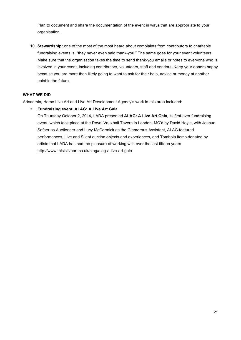Plan to document and share the documentation of the event in ways that are appropriate to your organisation.

10. **Stewardship:** one of the most of the most heard about complaints from contributors to charitable fundraising events is, "they never even said thank-you." The same goes for your event volunteers. Make sure that the organisation takes the time to send thank-you emails or notes to everyone who is involved in your event, including contributors, volunteers, staff and vendors. Keep your donors happy because you are more than likely going to want to ask for their help, advice or money at another point in the future.

## **WHAT WE DID**

Artsadmin, Home Live Art and Live Art Development Agency's work in this area included:

# • **Fundraising event, ALAG: A Live Art Gala**

On Thursday October 2, 2014, LADA presented **ALAG: A Live Art Gala**, its first-ever fundraising event, which took place at the Royal Vauxhall Tavern in London. MC'd by David Hoyle, with Joshua Sofaer as Auctioneer and Lucy McCormick as the Glamorous Assistant, ALAG featured performances, Live and Silent auction objects and experiences, and Tombola items donated by artists that LADA has had the pleasure of working with over the last fifteen years. http://www.thisisliveart.co.uk/blog/alag-a-live-art-gala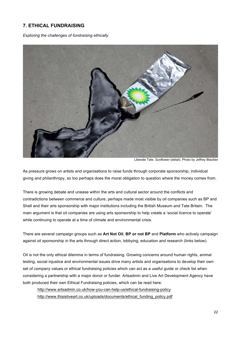# **7. ETHICAL FUNDRAISING**

*Exploring the challenges of fundraising ethically.* 



Liberate Tate, *Sunflower* (detail). Photo by Jeffrey Blackler

As pressure grows on artists and organisations to raise funds through corporate sponsorship, individual giving and philanthropy, so too perhaps does the moral obligation to question where the money comes from.

There is growing debate and unease within the arts and cultural sector around the conflicts and contradictions between commerce and culture, perhaps made most visible by oil companies such as BP and Shell and their arts sponsorship with major institutions including the British Museum and Tate Britain. The main argument is that oil companies are using arts sponsorship to help create a 'social licence to operate' while continuing to operate at a time of climate and environmental crisis.

There are several campaign groups such as **Art Not Oil**, **BP or not BP** and **Platform** who actively campaign against oil sponsorship in the arts through direct action, lobbying, education and research (links below).

Oil is not the only ethical dilemma in terms of fundraising. Growing concerns around human rights, animal testing, social injustice and environmental issues drive many artists and organisations to develop their own set of company values or ethical fundraising policies which can act as a useful guide or check list when considering a partnership with a major donor or funder. Artsadmin and Live Art Development Agency have both produced their own Ethical Fundraising policies, which can be read here:

http://www.artsadmin.co.uk/how-you-can-help-us/ethical-fundraising-policy http://www.thisisliveart.co.uk/uploads/documents/ethical\_funding\_policy.pdf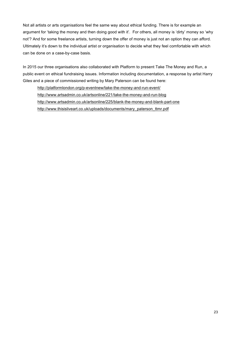Not all artists or arts organisations feel the same way about ethical funding. There is for example an argument for 'taking the money and then doing good with it'. For others, all money is 'dirty' money so 'why not'? And for some freelance artists, turning down the offer of money is just not an option they can afford. Ultimately it's down to the individual artist or organisation to decide what they feel comfortable with which can be done on a case-by-case basis.

In 2015 our three organisations also collaborated with Platform to present Take The Money and Run, a public event on ethical fundraising issues. Information including documentation, a response by artist Harry Giles and a piece of commissioned writing by Mary Paterson can be found here:

http://platformlondon.org/p-eventnew/take-the-money-and-run-event/ http://www.artsadmin.co.uk/artsonline/221/take-the-money-and-run-blog http://www.artsadmin.co.uk/artsonline/225/blank-the-money-and-blank-part-one http://www.thisisliveart.co.uk/uploads/documents/mary\_paterson\_ttmr.pdf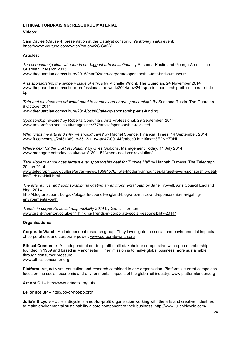#### **ETHICAL FUNDRAISING: RESOURCE MATERIAL**

**Videos:**

Sam Davies (Cause 4) presentation at the Catalyst consortium's *Money Talks* event: https://www.youtube.com/watch?v=ionw2SIGaQY

#### **Articles:**

*The sponsorship files: who funds our biggest arts institutions* by Susanna Rustin and George Arnett. The Guardian. 2 March 2015

www.theguardian.com/culture/2015/mar/02/arts-corporate-sponsorship-tate-british-museum

*Arts sponsorship: the slippery issue of ethics* by Michelle Wright. The Guardian. 24 November 2014 www.theguardian.com/culture-professionals-network/2014/nov/24/-sp-arts-sponsorship-ethics-liberate-tatebp

*Tate and oil: does the art world need to come clean about sponsorship?* By Susanna Rustin. The Guardian. 8 October 2014

www.theguardian.com/culture/2014/oct/08/tate-bp-sponsorship-arts-funding

*Sponsorship revisited* by Roberta Comunian. Arts Professional. 29 September, 2014 www.artsprofessional.co.uk/magazine/277/article/sponsorship-revisited

*Who funds the arts and why we should care?* by Rachel Spence. Financial Times. 14 September, 2014. www.ft.com/cms/s/2/4313691c-3513-11e4-aa47-00144feabdc0.html#axzz3E2NHZ9HI

*Where next for the CSR revolution?* by Giles Gibbons. Management Today. 11 July 2014 www.managementtoday.co.uk/news/1301154/where-next-csr-revolution/

*Tate Modern announces largest ever sponsorship deal for Turbine Hall* by Hannah Furness. The Telegraph. 20 Jan 2014

www.telegraph.co.uk/culture/art/art-news/10584578/Tate-Modern-announces-largest-ever-sponsorship-dealfor-Turbine-Hall.html

*The arts, ethics, and sponsorship: navigating an environmental path* by Jane Trowell. Arts Council England blog. 2014

http://blog.artscouncil.org.uk/blog/arts-council-england-blog/arts-ethics-and-sponsorship-navigatingenvironmental-path

*Trends in corporate social responsibility 2014* by Grant Thornton www.grant-thornton.co.uk/en/Thinking/Trends-in-corporate-social-responsibility-2014/

#### **Organisations:**

**Corporate Watch**. An independent research group. They investigate the social and environmental impacts of corporations and corporate power. www.corporatewatch.org

**Ethical Consumer.** An independent not-for-profit multi-stakeholder co-operative with open membership founded in 1989 and based in Manchester. Their mission is to make global business more sustainable through consumer pressure. www.ethicalconsumer.org

**Platform.** Art, activism, education and research combined in one organisation. Platform's current campaigns focus on the social, economic and environmental impacts of the global oil industry. www.platformlondon.org

**Art not Oil –** http://www.artnotoil.org.uk/

**BP or not BP –** http://bp-or-not-bp.org/

**Julie's Bicycle –** Julie's Bicycle is a not-for-profit organisation working with the arts and creative industries to make environmental sustainability a core component of their business. http://www.juliesbicycle.com/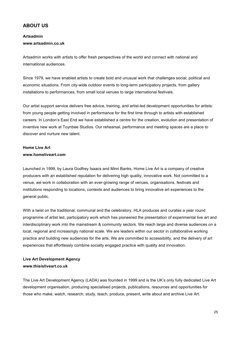# **ABOUT US**

### **Artsadmin www.artsadmin.co.uk**

Artsadmin works with artists to offer fresh perspectives of the world and connect with national and international audiences.

Since 1979, we have enabled artists to create bold and unusual work that challenges social, political and economic situations. From city-wide outdoor events to long-term participatory projects, from gallery installations to performances, from small local venues to large international festivals.

Our artist support service delivers free advice, training, and artist-led development opportunities for artists: from young people getting involved in performance for the first time through to artists with established careers. In London's East End we have established a centre for the creation, evolution and presentation of inventive new work at Toynbee Studios. Our rehearsal, performance and meeting spaces are a place to discover and nurture new talent.

# **Home Live Art www.homeliveart.com**

Launched in 1999, by Laura Godfrey Isaacs and Mimi Banks, Home Live Art is a company of creative producers with an established reputation for delivering high quality, innovative work. Not committed to a venue, we work in collaboration with an ever-growing range of venues, organisations, festivals and institutions responding to locations, contexts and audiences to bring innovative art experiences to the general public.

With a twist on the traditional, communal and the celebratory, HLA produces and curates a year round programme of artist led, participatory work which has pioneered the presentation of experimental live art and interdisciplinary work into the mainstream & community sectors. We reach large and diverse audiences on a local, regional and increasingly national scale. We are leaders within our sector in collaborative working practice and building new audiences for the arts. We are committed to accessibility, and the delivery of art experiences that effortlessly combine socially engaged practice with quality and innovation.

# **Live Art Development Agency www.thisisliveart.co.uk**

The Live Art Development Agency (LADA) was founded in 1999 and is the UK's only fully dedicated Live Art development organisation, producing specialised projects, publications, resources and opportunities for those who make, watch, research, study, teach, produce, present, write about and archive Live Art.